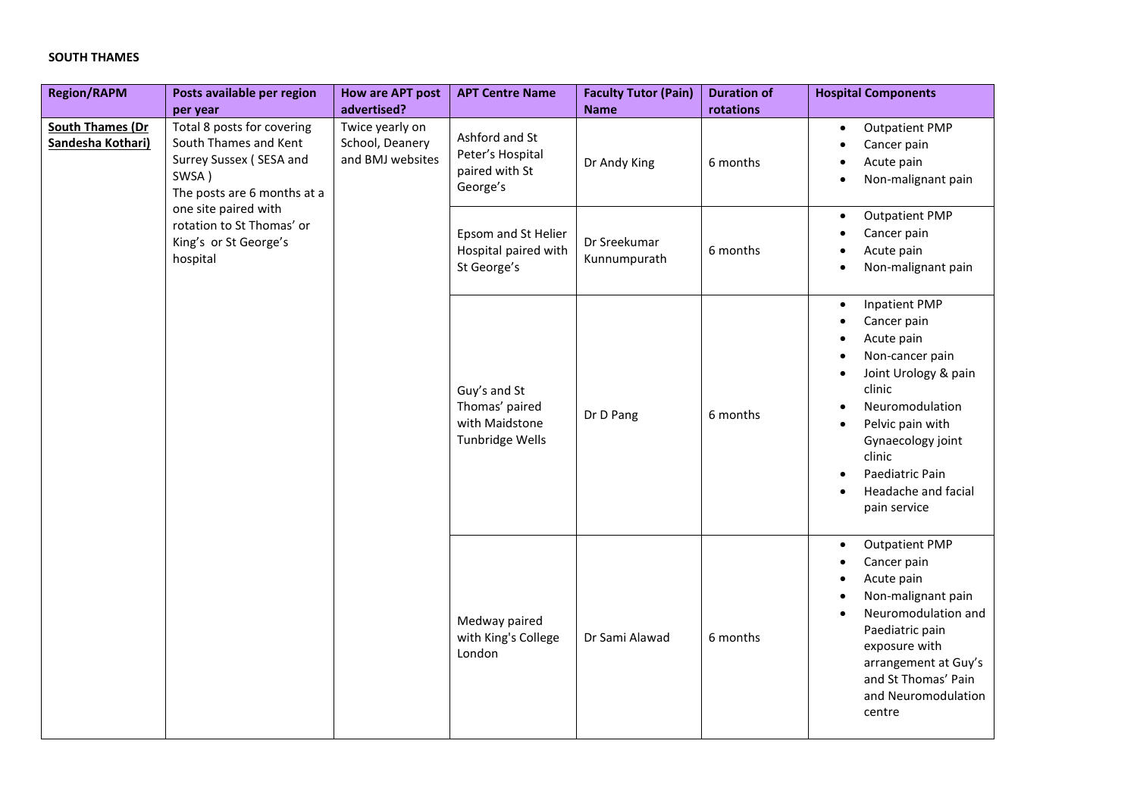## **SOUTH THAMES**

| <b>Region/RAPM</b>                           | Posts available per region<br>per year                                                                                                                                                                           | <b>How are APT post</b><br>advertised?                 | <b>APT Centre Name</b>                                              | <b>Faculty Tutor (Pain)</b><br><b>Name</b> | <b>Duration of</b><br>rotations | <b>Hospital Components</b>                                                                                                                                                                                                                          |
|----------------------------------------------|------------------------------------------------------------------------------------------------------------------------------------------------------------------------------------------------------------------|--------------------------------------------------------|---------------------------------------------------------------------|--------------------------------------------|---------------------------------|-----------------------------------------------------------------------------------------------------------------------------------------------------------------------------------------------------------------------------------------------------|
| <b>South Thames (Dr</b><br>Sandesha Kothari) | Total 8 posts for covering<br>South Thames and Kent<br>Surrey Sussex (SESA and<br>SWSA)<br>The posts are 6 months at a<br>one site paired with<br>rotation to St Thomas' or<br>King's or St George's<br>hospital | Twice yearly on<br>School, Deanery<br>and BMJ websites | Ashford and St<br>Peter's Hospital<br>paired with St<br>George's    | Dr Andy King                               | 6 months                        | <b>Outpatient PMP</b><br>$\bullet$<br>Cancer pain<br>Acute pain<br>Non-malignant pain                                                                                                                                                               |
|                                              |                                                                                                                                                                                                                  |                                                        | Epsom and St Helier<br>Hospital paired with<br>St George's          | Dr Sreekumar<br>Kunnumpurath               | 6 months                        | <b>Outpatient PMP</b><br>$\bullet$<br>Cancer pain<br>Acute pain<br>Non-malignant pain                                                                                                                                                               |
|                                              |                                                                                                                                                                                                                  |                                                        | Guy's and St<br>Thomas' paired<br>with Maidstone<br>Tunbridge Wells | Dr D Pang                                  | 6 months                        | <b>Inpatient PMP</b><br>$\bullet$<br>Cancer pain<br>Acute pain<br>Non-cancer pain<br>Joint Urology & pain<br>clinic<br>Neuromodulation<br>Pelvic pain with<br>Gynaecology joint<br>clinic<br>Paediatric Pain<br>Headache and facial<br>pain service |
|                                              |                                                                                                                                                                                                                  |                                                        | Medway paired<br>with King's College<br>London                      | Dr Sami Alawad                             | 6 months                        | <b>Outpatient PMP</b><br>$\bullet$<br>Cancer pain<br>Acute pain<br>Non-malignant pain<br>Neuromodulation and<br>Paediatric pain<br>exposure with<br>arrangement at Guy's<br>and St Thomas' Pain<br>and Neuromodulation<br>centre                    |